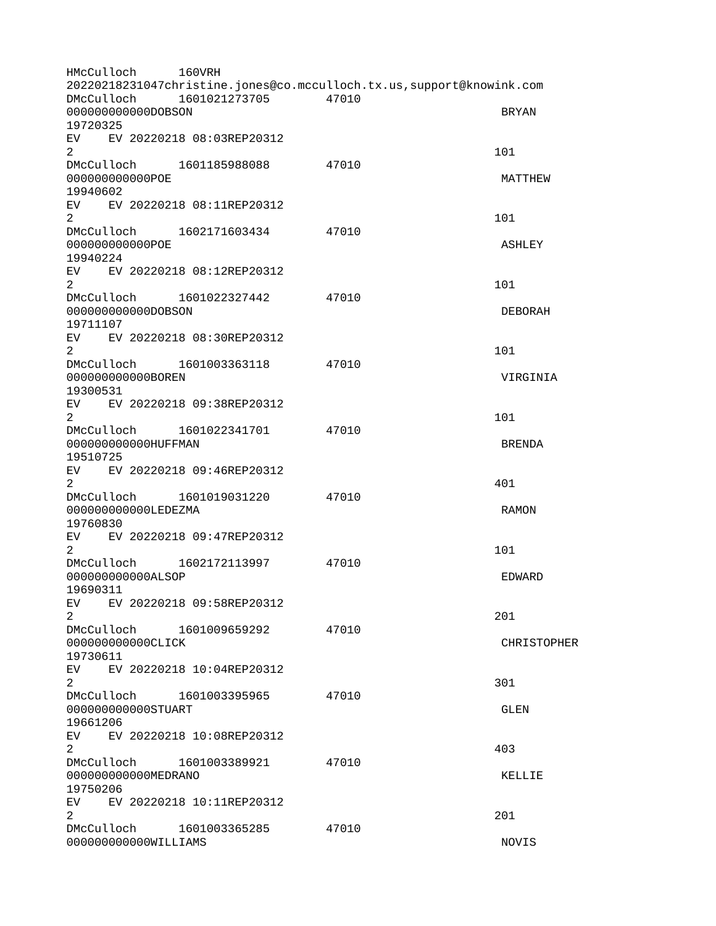HMcCulloch 160VRH 20220218231047christine.jones@co.mcculloch.tx.us,support@knowink.com DMcCulloch 1601021273705 47010 000000000000DOBSON BRYAN 19720325 EV EV 20220218 08:03REP20312  $2 \t 101$ DMcCulloch 1601185988088 47010 000000000000POE MATTHEW 19940602 EV EV 20220218 08:11REP20312  $2 \t 101$ DMcCulloch 1602171603434 47010 000000000000POE ASHLEY 19940224 EV EV 20220218 08:12REP20312  $2 \t 101$ DMcCulloch 1601022327442 47010 00000000000000DOBSON DEBORAH 19711107 EV EV 20220218 08:30REP20312  $2 \t 101$ DMcCulloch 1601003363118 47010 000000000000BOREN VIRGINIA 19300531 EV EV 20220218 09:38REP20312  $2 \t 101$ DMcCulloch 1601022341701 47010 000000000000HUFFMAN BRENDA 19510725 EV EV 20220218 09:46REP20312  $2 \times 401$ DMcCulloch 1601019031220 47010 0000000000000LEDEZMA RAMON RAMON RAMON 19760830 EV EV 20220218 09:47REP20312  $2 \t 101$ DMcCulloch 1602172113997 47010 000000000000ALSOP EDWARD 19690311 EV EV 20220218 09:58REP20312  $2<sup>2</sup>$ DMcCulloch 1601009659292 47010 000000000000CLICK CHRISTOPHER 19730611 EV EV 20220218 10:04REP20312  $2\,$ DMcCulloch 1601003395965 47010 000000000000STUART GLEN 19661206 EV EV 20220218 10:08REP20312  $2^{403}$ DMcCulloch 1601003389921 47010 000000000000MEDRANO KELLIE 19750206 EV EV 20220218 10:11REP20312  $2<sup>2</sup>$ DMcCulloch 1601003365285 47010 000000000000WILLIAMS NOVIS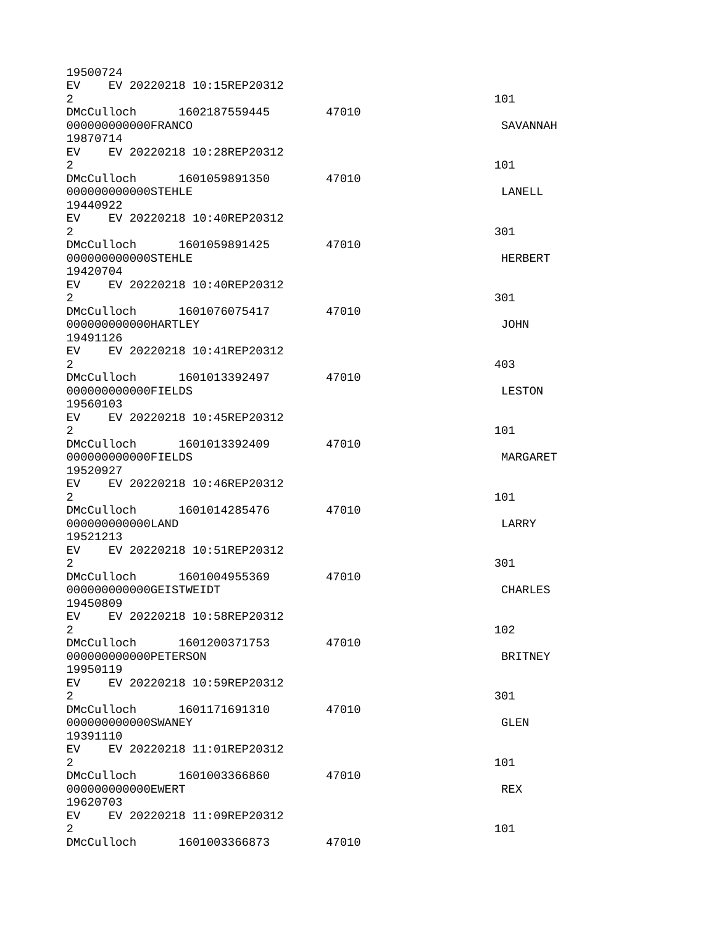| 19500724                                                   |                                |       |                |
|------------------------------------------------------------|--------------------------------|-------|----------------|
| EV EV 20220218 10:15REP20312<br>2                          |                                |       | 101            |
| DMcCulloch 1602187559445<br>000000000000FRANCO             |                                | 47010 | SAVANNAH       |
| 19870714<br>EV EV 20220218 10:28REP20312                   |                                |       |                |
| $\overline{2}$<br>DMcCulloch 1601059891350                 |                                | 47010 | 101            |
| 000000000000STEHLE<br>19440922                             |                                |       | LANELL         |
| EV EV 20220218 10:40REP20312<br>2 <sup>1</sup>             |                                |       | 301            |
| DMcCulloch 1601059891425<br>000000000000STEHLE<br>19420704 |                                | 47010 | <b>HERBERT</b> |
| EV EV 20220218 10:40REP20312<br>2                          |                                |       | 301            |
| 000000000000HARTLEY<br>19491126                            | DMcCulloch 1601076075417 47010 |       | <b>JOHN</b>    |
| EV EV 20220218 10:41REP20312<br>$\overline{2}$             |                                |       | 403            |
| 00000000000FIELDS<br>19560103                              |                                | 47010 | <b>LESTON</b>  |
| EV EV 20220218 10:45REP20312<br>$\overline{2}$             |                                |       | 101            |
| DMcCulloch 1601013392409<br>00000000000FIELDS<br>19520927  |                                | 47010 | MARGARET       |
| EV EV 20220218 10:46REP20312<br>$\overline{2}$             |                                |       | 101            |
| DMcCulloch 1601014285476<br>00000000000LAND<br>19521213    | 47010                          |       | LARRY          |
| EV<br>$\overline{2}$                                       | EV 20220218 10:51REP20312      |       | 301            |
| DMcCulloch 1601004955369<br>000000000000GEISTWEIDT         |                                | 47010 | <b>CHARLES</b> |
| 19450809<br>EV                                             | EV 20220218 10:58REP20312      |       |                |
| $\mathbf{2}$                                               | DMcCulloch 1601200371753 47010 |       | 102            |
| 000000000000PETERS0N<br>19950119                           |                                |       | <b>BRITNEY</b> |
| EV <sub>2</sub><br>$\mathbf{2}^{\prime}$                   | EV 20220218 10:59REP20312      |       | 301            |
| DMcCulloch 1601171691310<br>000000000000SWANEY<br>19391110 |                                | 47010 | <b>GLEN</b>    |
| EV EV 20220218 11:01REP20312<br>$\overline{2}$             |                                |       | 101            |
| DMcCulloch 1601003366860<br>000000000000EWERT<br>19620703  |                                | 47010 | <b>REX</b>     |
| EV EV 20220218 11:09REP20312<br>$\overline{2}$             |                                |       | 101            |
|                                                            | DMcCulloch 1601003366873 47010 |       |                |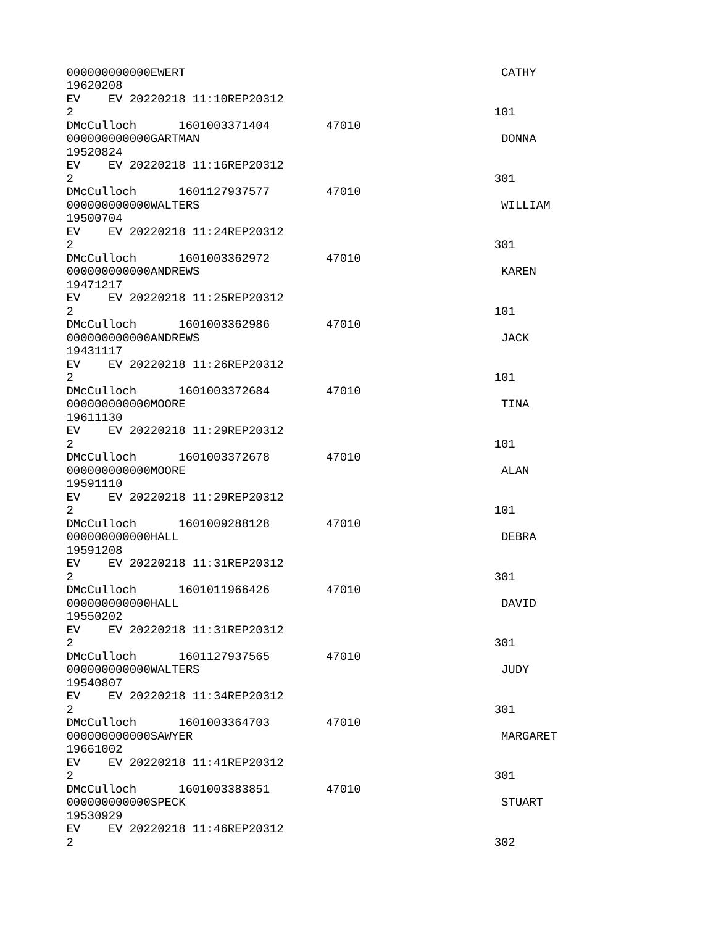| 000000000000EWERT<br>19620208                                     |       | <b>CATHY</b>  |
|-------------------------------------------------------------------|-------|---------------|
| EV EV 20220218 11:10REP20312<br>$\overline{2}$                    |       | 101           |
| DMcCulloch 1601003371404 47010<br>000000000000GARTMAN<br>19520824 |       | <b>DONNA</b>  |
| EV EV 20220218 11:16REP20312<br>$\mathbf{2}^{\prime}$             |       | 301           |
| DMcCulloch 1601127937577 47010<br>000000000000WALTERS<br>19500704 |       | WILLIAM       |
| EV EV 20220218 11:24REP20312<br>$\overline{2}$                    |       | 301           |
| DMcCulloch 1601003362972 47010<br>000000000000ANDREWS<br>19471217 |       | <b>KAREN</b>  |
| EV EV 20220218 11:25REP20312<br>2                                 |       | 101           |
| DMcCulloch 1601003362986 47010<br>000000000000ANDREWS<br>19431117 |       | JACK          |
| EV EV 20220218 11:26REP20312<br>$\overline{2}$                    |       | 101           |
| DMcCulloch 1601003372684 47010<br>00000000000M00RE<br>19611130    |       | <b>TINA</b>   |
| EV EV 20220218 11:29REP20312<br>$\overline{2}$                    |       | 101           |
| DMcCulloch 1601003372678<br>000000000000MOORE<br>19591110         | 47010 | ALAN          |
| EV EV 20220218 11:29REP20312<br>$\overline{2}$                    |       | 101           |
| DMcCulloch 1601009288128 47010<br>000000000000HALL<br>19591208    |       | <b>DEBRA</b>  |
| EV  <br>EV 20220218 11:31REP20312<br>2                            |       | 301           |
| DMcCulloch 1601011966426<br>000000000000HALL<br>19550202          | 47010 | DAVID         |
| EV EV 20220218 11:31REP20312<br>$\overline{2}$                    |       | 301           |
| DMcCulloch<br>1601127937565<br>000000000000WALTERS<br>19540807    | 47010 | JUDY          |
| EV.<br>EV 20220218 11:34REP20312<br>$\overline{2}$                |       | 301           |
| DMcCulloch 1601003364703<br>000000000000SAWYER<br>19661002        | 47010 | MARGARET      |
| EV EV 20220218 11:41REP20312<br>$\overline{2}$                    |       | 301           |
| DMcCulloch<br>1601003383851<br>000000000000SPECK<br>19530929      | 47010 | <b>STUART</b> |
| EV.<br>EV 20220218 11:46REP20312<br>$\overline{2}$                |       | 302           |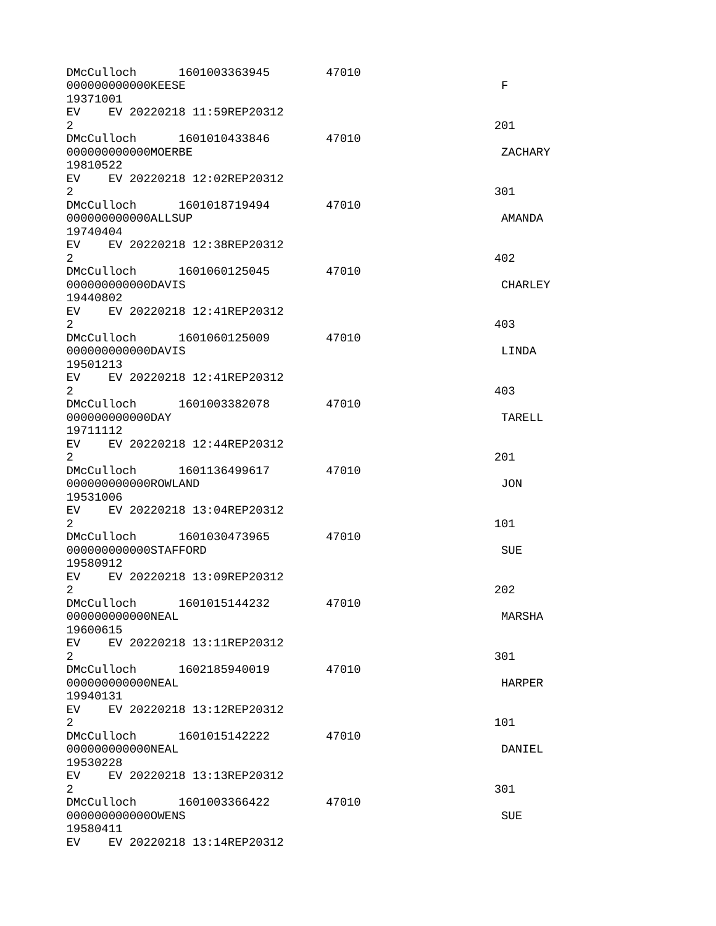| DMcCulloch<br>1601003363945<br>00000000000KEESE<br>19371001                                                                                                                                                                                                 | 47010 | F              |
|-------------------------------------------------------------------------------------------------------------------------------------------------------------------------------------------------------------------------------------------------------------|-------|----------------|
| EV EV 20220218 11:59REP20312<br>$\overline{2}$                                                                                                                                                                                                              |       | 201            |
| DMcCulloch 1601010433846<br>000000000000MOERBE<br>19810522                                                                                                                                                                                                  | 47010 | ZACHARY        |
| EV EV 20220218 12:02REP20312<br>$\overline{2}$                                                                                                                                                                                                              |       | 301            |
| DMcCulloch 1601018719494<br>00000000000ALLSUP<br>19740404                                                                                                                                                                                                   | 47010 | AMANDA         |
| EV EV 20220218 12:38REP20312<br>$\overline{2}$                                                                                                                                                                                                              |       | 402            |
| DMcCulloch 1601060125045<br>00000000000DAVIS<br>19440802                                                                                                                                                                                                    | 47010 | <b>CHARLEY</b> |
| EV<br>EV 20220218 12:41REP20312<br>$\overline{2}$                                                                                                                                                                                                           |       | 403            |
| DMcCulloch 1601060125009<br>00000000000DAVIS<br>19501213                                                                                                                                                                                                    | 47010 | LINDA          |
| EV EV 20220218 12:41REP20312<br>$\overline{2}$                                                                                                                                                                                                              |       | 403            |
| DMcCulloch 1601003382078<br>00000000000DAY<br>19711112                                                                                                                                                                                                      | 47010 | <b>TARELL</b>  |
| EV EV 20220218 12:44REP20312<br>$\overline{2}$                                                                                                                                                                                                              |       | 201            |
| DMcCulloch 1601136499617<br>000000000000R0WLAND<br>19531006                                                                                                                                                                                                 | 47010 | <b>JON</b>     |
| EV EV 20220218 13:04REP20312<br>$\overline{2}$                                                                                                                                                                                                              |       | 101            |
| DMcCulloch 1601030473965<br>000000000000STAFF0RD<br>19580912                                                                                                                                                                                                | 47010 | <b>SUE</b>     |
| EV<br>EV 20220218 13:09REP20312<br>$2^{\circ}$                                                                                                                                                                                                              |       | 202            |
| 000000000000NEAL<br>19600615                                                                                                                                                                                                                                | 47010 | <b>MARSHA</b>  |
| EV EV 20220218 13:11REP20312<br>2                                                                                                                                                                                                                           |       | 301            |
| DMcCulloch 1602185940019<br>000000000000NEAL<br>19940131                                                                                                                                                                                                    | 47010 | <b>HARPER</b>  |
| EV EV 20220218 13:12REP20312<br>$\overline{2}$                                                                                                                                                                                                              |       | 101            |
| DMcCulloch 1601015142222<br>000000000000NEAL<br>19530228                                                                                                                                                                                                    | 47010 | DANIEL         |
| EV EV 20220218 13:13REP20312<br>2                                                                                                                                                                                                                           |       | 301            |
| DMcCulloch 1601003366422<br>0000000000000WENS<br>19580411                                                                                                                                                                                                   | 47010 | <b>SUE</b>     |
| EV and the set of the set of the set of the set of the set of the set of the set of the set of the set of the set of the set of the set of the set of the set of the set of the set of the set of the set of the set of the se<br>EV 20220218 13:14REP20312 |       |                |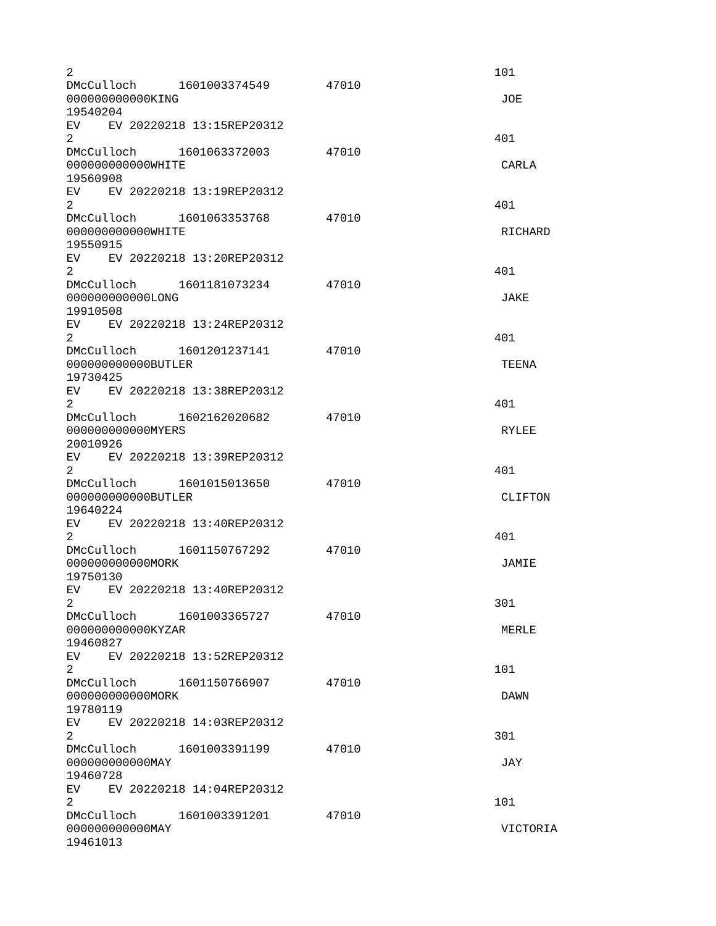| 2                                                             |                                |       | 101               |
|---------------------------------------------------------------|--------------------------------|-------|-------------------|
| 00000000000KING<br>19540204                                   | DMcCulloch 1601003374549       | 47010 | J0E               |
| EV EV 20220218 13:15REP20312                                  |                                |       |                   |
| $\overline{2}$<br>DMcCulloch 1601063372003                    |                                | 47010 | 401               |
| 000000000000WHITE<br>19560908                                 |                                |       | CARLA             |
| EV EV 20220218 13:19REP20312<br>$2^{\circ}$                   |                                |       | 401               |
| DMcCulloch 1601063353768<br>000000000000WHITE<br>19550915     |                                | 47010 | RICHARD           |
| EV EV 20220218 13:20REP20312<br>$\mathbf{2}^{\circ}$          |                                |       | 401               |
| 000000000000LONG<br>19910508                                  | DMcCulloch 1601181073234 47010 |       | <b>JAKE</b>       |
| EV EV 20220218 13:24REP20312<br>2                             |                                |       | 401               |
| 000000000000BUTLER<br>19730425                                | DMcCulloch 1601201237141       | 47010 | <b>TEENA</b>      |
| EV EV 20220218 13:38REP20312<br>2                             | DMcCulloch 1602162020682       | 47010 | 401               |
| 00000000000MYERS<br>20010926<br>EV EV 20220218 13:39REP20312  |                                |       | <b>RYLEE</b>      |
| $\overline{2}$<br>DMcCulloch  1601015013650                   |                                | 47010 | 401               |
| 00000000000BUTLER<br>19640224<br>EV EV 20220218 13:40REP20312 |                                |       | <b>CLIFTON</b>    |
| 2<br>DMcCulloch 1601150767292                                 |                                | 47010 | 401               |
| 000000000000MORK<br>19750130                                  |                                |       | JAMIE             |
| EV EV 20220218 13:40REP20312<br>$\overline{c}$                | DMcCulloch 1601003365727 47010 |       | 301               |
| 000000000000KYZAR<br>19460827<br>EV                           | EV 20220218 13:52REP20312      |       | MERLE             |
| $\overline{2}$<br>DMcCulloch 1601150766907                    |                                | 47010 | 101               |
| 00000000000MORK<br>19780119<br>EV EV 20220218 14:03REP20312   |                                |       | <b>DAWN</b>       |
| $\overline{2}$<br>00000000000MAY                              |                                | 47010 | 301<br><b>JAY</b> |
| 19460728<br>EV<br>$\overline{2}$                              | EV 20220218 14:04REP20312      |       | 101               |
| DMcCulloch 1601003391201<br>00000000000MAY<br>19461013        |                                | 47010 | VICTORIA          |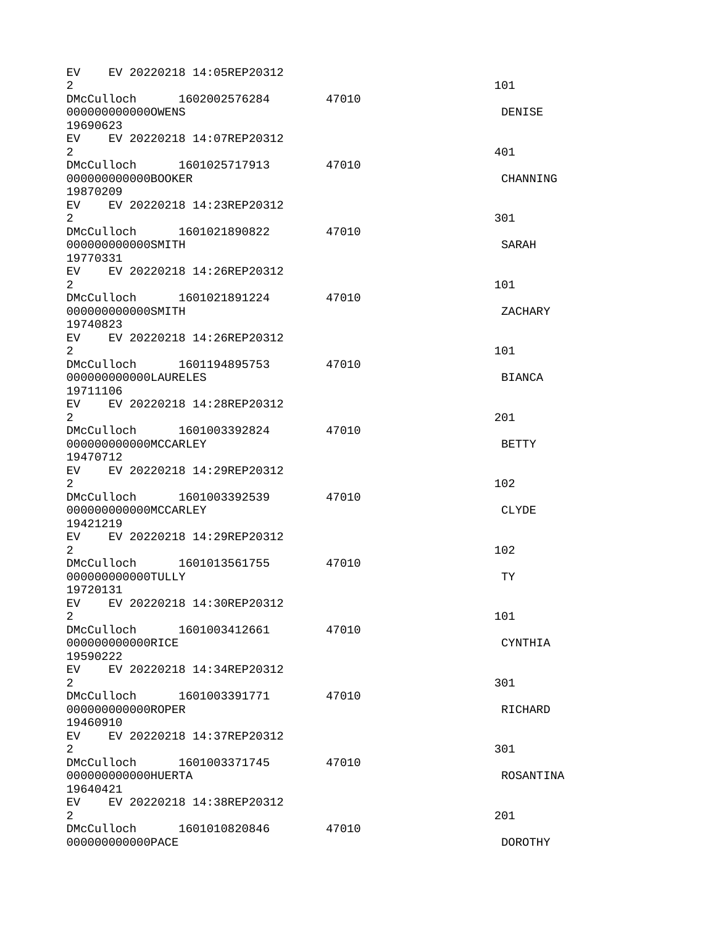| 2                                        |                                 |                                 | EV EV 20220218 14:05REP20312 |       | 101            |
|------------------------------------------|---------------------------------|---------------------------------|------------------------------|-------|----------------|
|                                          |                                 | 0000000000000WENS               | DMcCulloch 1602002576284     | 47010 | DENISE         |
| 19690623                                 |                                 |                                 |                              |       |                |
| $\overline{2}$                           |                                 |                                 | EV EV 20220218 14:07REP20312 | 47010 | 401            |
|                                          |                                 | 000000000000B00KER              |                              |       | CHANNING       |
| 19870209                                 |                                 |                                 |                              |       |                |
| $\overline{2}$                           |                                 |                                 | EV EV 20220218 14:23REP20312 |       | 301            |
|                                          |                                 | DMcCulloch<br>000000000000SMITH | 1601021890822                | 47010 | <b>SARAH</b>   |
| 19770331                                 |                                 |                                 |                              |       |                |
| 2                                        |                                 |                                 | EV EV 20220218 14:26REP20312 |       | 101            |
|                                          |                                 |                                 | DMcCulloch 1601021891224     | 47010 |                |
|                                          |                                 | 000000000000SMITH               |                              |       | ZACHARY        |
| 19740823<br>$\overline{2}$               |                                 |                                 | EV EV 20220218 14:26REP20312 |       | 101            |
|                                          |                                 |                                 | DMcCulloch 1601194895753     | 47010 |                |
|                                          |                                 | 000000000000LAURELES            |                              |       | <b>BIANCA</b>  |
| 19711106                                 |                                 |                                 |                              |       |                |
| $\overline{2}$                           |                                 |                                 | EV EV 20220218 14:28REP20312 |       | 201            |
|                                          |                                 |                                 | DMcCulloch 1601003392824     | 47010 |                |
| 19470712                                 |                                 | 000000000000MCCARLEY            |                              |       | <b>BETTY</b>   |
|                                          |                                 |                                 | EV EV 20220218 14:29REP20312 |       |                |
| $\overline{2}$                           |                                 |                                 |                              |       | 102            |
|                                          |                                 | 000000000000MCCARLEY            | DMcCulloch 1601003392539     | 47010 | <b>CLYDE</b>   |
| 19421219                                 |                                 |                                 |                              |       |                |
| EV.<br>2                                 |                                 |                                 | EV 20220218 14:29REP20312    |       | 102            |
|                                          |                                 |                                 | DMcCulloch 1601013561755     | 47010 |                |
|                                          |                                 | 000000000000TULLY               |                              |       | <b>TY</b>      |
| 19720131                                 |                                 |                                 |                              |       |                |
| $2^{\circ}$                              |                                 |                                 | EV EV 20220218 14:30REP20312 |       | 101            |
|                                          |                                 |                                 | DMcCulloch 1601003412661     | 47010 |                |
|                                          |                                 | 000000000000RICE                |                              |       | CYNTHIA        |
| 19590222<br>EV                           |                                 |                                 | EV 20220218 14:34REP20312    |       |                |
| $\overline{2}$                           |                                 |                                 |                              |       | 301            |
|                                          |                                 |                                 | DMcCulloch 1601003391771     | 47010 |                |
|                                          |                                 | 000000000000R0PER               |                              |       | RICHARD        |
| 19460910                                 |                                 |                                 |                              |       |                |
| $\mathbf{2}^{\prime}$                    |                                 |                                 | EV EV 20220218 14:37REP20312 |       | 301            |
|                                          |                                 |                                 | DMcCulloch 1601003371745     | 47010 |                |
|                                          | 000000000000HUERTA<br>ROSANTINA |                                 |                              |       |                |
| 19640421<br>EV EV 20220218 14:38REP20312 |                                 |                                 |                              |       |                |
| $2^{\circ}$                              |                                 |                                 |                              |       | 201            |
|                                          |                                 |                                 | DMcCulloch 1601010820846     | 47010 |                |
|                                          |                                 | 00000000000PACE                 |                              |       | <b>DOROTHY</b> |